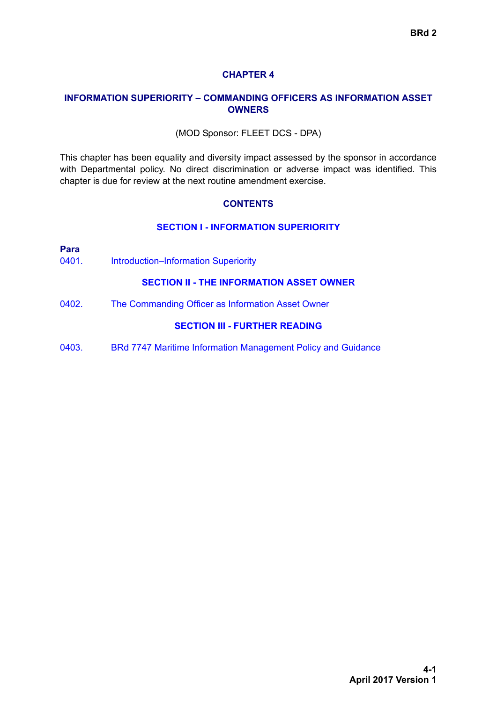### **CHAPTER 4**

### **INFORMATION SUPERIORITY – COMMANDING OFFICERS AS INFORMATION ASSET OWNERS**

#### (MOD Sponsor: FLEET DCS - DPA)

This chapter has been equality and diversity impact assessed by the sponsor in accordance with Departmental policy. No direct discrimination or adverse impact was identified. This chapter is due for review at the next routine amendment exercise.

#### **CONTENTS**

#### **[SECTION I - INFORMATION SUPERIORITY](#page-1-0)**

| Para<br>0401. | <b>Introduction-Information Superiority</b>                  |
|---------------|--------------------------------------------------------------|
|               | <b>SECTION II - THE INFORMATION ASSET OWNER</b>              |
| 0402.         | The Commanding Officer as Information Asset Owner            |
|               | <b>SECTION III - FURTHER READING</b>                         |
| 0403.         | BRd 7747 Maritime Information Management Policy and Guidance |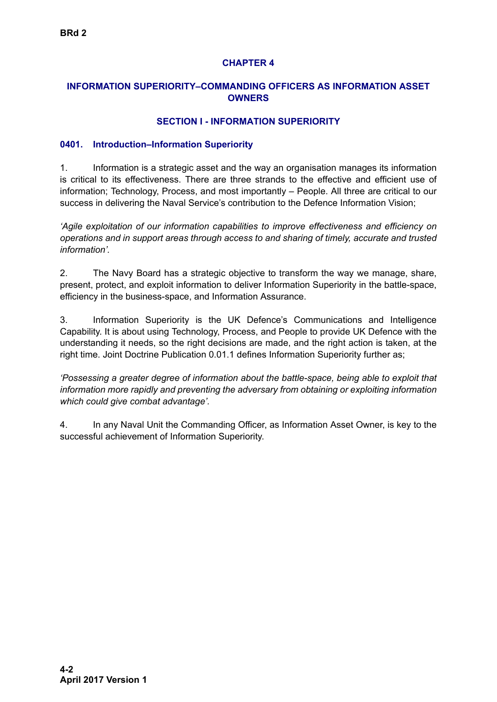# **CHAPTER 4**

# <span id="page-1-0"></span>**INFORMATION SUPERIORITY–COMMANDING OFFICERS AS INFORMATION ASSET OWNERS**

### **SECTION I - INFORMATION SUPERIORITY**

### **0401. Introduction–Information Superiority**

1. Information is a strategic asset and the way an organisation manages its information is critical to its effectiveness. There are three strands to the effective and efficient use of information; Technology, Process, and most importantly – People. All three are critical to our success in delivering the Naval Service's contribution to the Defence Information Vision;

*'Agile exploitation of our information capabilities to improve effectiveness and efficiency on operations and in support areas through access to and sharing of timely, accurate and trusted information'.*

2. The Navy Board has a strategic objective to transform the way we manage, share, present, protect, and exploit information to deliver Information Superiority in the battle-space, efficiency in the business-space, and Information Assurance.

3. Information Superiority is the UK Defence's Communications and Intelligence Capability. It is about using Technology, Process, and People to provide UK Defence with the understanding it needs, so the right decisions are made, and the right action is taken, at the right time. Joint Doctrine Publication 0.01.1 defines Information Superiority further as;

*'Possessing a greater degree of information about the battle-space, being able to exploit that information more rapidly and preventing the adversary from obtaining or exploiting information which could give combat advantage'.*

4. In any Naval Unit the Commanding Officer, as Information Asset Owner, is key to the successful achievement of Information Superiority.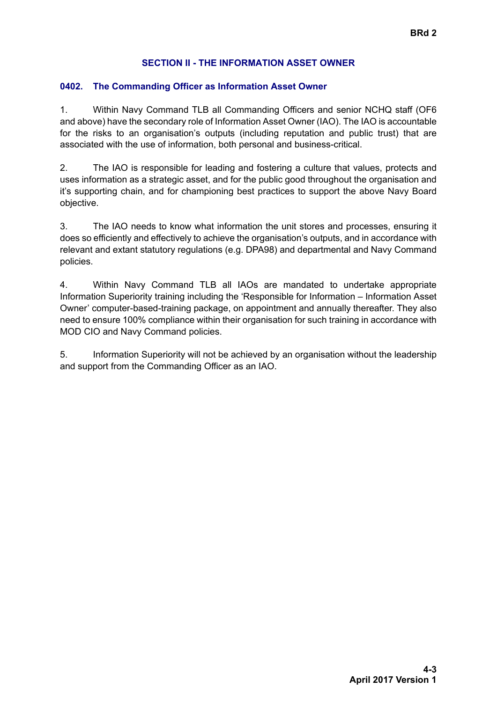# **SECTION II - THE INFORMATION ASSET OWNER**

# <span id="page-2-0"></span>**0402. The Commanding Officer as Information Asset Owner**

1. Within Navy Command TLB all Commanding Officers and senior NCHQ staff (OF6 and above) have the secondary role of Information Asset Owner (IAO). The IAO is accountable for the risks to an organisation's outputs (including reputation and public trust) that are associated with the use of information, both personal and business-critical.

2. The IAO is responsible for leading and fostering a culture that values, protects and uses information as a strategic asset, and for the public good throughout the organisation and it's supporting chain, and for championing best practices to support the above Navy Board objective.

3. The IAO needs to know what information the unit stores and processes, ensuring it does so efficiently and effectively to achieve the organisation's outputs, and in accordance with relevant and extant statutory regulations (e.g. DPA98) and departmental and Navy Command policies.

4. Within Navy Command TLB all IAOs are mandated to undertake appropriate Information Superiority training including the 'Responsible for Information – Information Asset Owner' computer-based-training package, on appointment and annually thereafter. They also need to ensure 100% compliance within their organisation for such training in accordance with MOD CIO and Navy Command policies.

5. Information Superiority will not be achieved by an organisation without the leadership and support from the Commanding Officer as an IAO.